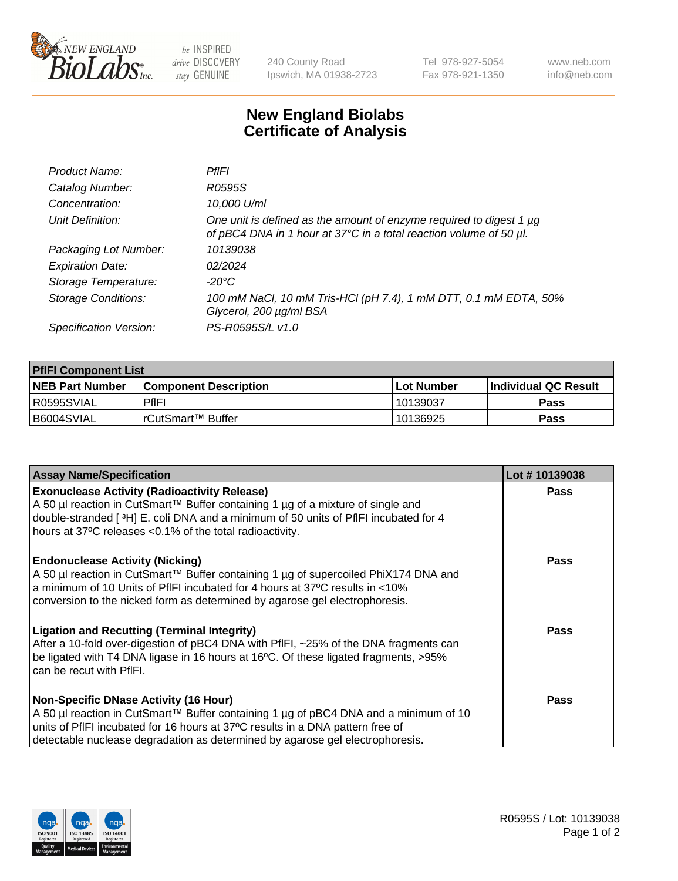

 $be$  INSPIRED drive DISCOVERY stay GENUINE

240 County Road Ipswich, MA 01938-2723 Tel 978-927-5054 Fax 978-921-1350 www.neb.com info@neb.com

## **New England Biolabs Certificate of Analysis**

| Product Name:              | PfIFI                                                                                                                                     |
|----------------------------|-------------------------------------------------------------------------------------------------------------------------------------------|
| Catalog Number:            | R0595S                                                                                                                                    |
| Concentration:             | 10,000 U/ml                                                                                                                               |
| Unit Definition:           | One unit is defined as the amount of enzyme required to digest 1 µg<br>of pBC4 DNA in 1 hour at 37°C in a total reaction volume of 50 µl. |
| Packaging Lot Number:      | 10139038                                                                                                                                  |
| <b>Expiration Date:</b>    | 02/2024                                                                                                                                   |
| Storage Temperature:       | $-20^{\circ}$ C                                                                                                                           |
| <b>Storage Conditions:</b> | 100 mM NaCl, 10 mM Tris-HCl (pH 7.4), 1 mM DTT, 0.1 mM EDTA, 50%<br>Glycerol, 200 µg/ml BSA                                               |
| Specification Version:     | PS-R0595S/L v1.0                                                                                                                          |

| <b>PfIFI Component List</b> |                         |              |                             |  |  |
|-----------------------------|-------------------------|--------------|-----------------------------|--|--|
| <b>NEB Part Number</b>      | l Component Description | l Lot Number | <b>Individual QC Result</b> |  |  |
| I R0595SVIAL                | <b>PfIFI</b>            | 10139037     | Pass                        |  |  |
| B6004SVIAL                  | l rCutSmart™ Buffer_    | 10136925     | Pass                        |  |  |

| <b>Assay Name/Specification</b>                                                                                                                                                                                                                                                                         | Lot #10139038 |
|---------------------------------------------------------------------------------------------------------------------------------------------------------------------------------------------------------------------------------------------------------------------------------------------------------|---------------|
| <b>Exonuclease Activity (Radioactivity Release)</b><br>A 50 µl reaction in CutSmart™ Buffer containing 1 µg of a mixture of single and<br>double-stranded [3H] E. coli DNA and a minimum of 50 units of PfIFI incubated for 4<br>hours at 37°C releases <0.1% of the total radioactivity.               | <b>Pass</b>   |
| <b>Endonuclease Activity (Nicking)</b><br>A 50 µl reaction in CutSmart™ Buffer containing 1 µg of supercoiled PhiX174 DNA and<br>a minimum of 10 Units of PfIFI incubated for 4 hours at 37°C results in <10%<br>conversion to the nicked form as determined by agarose gel electrophoresis.            | Pass          |
| <b>Ligation and Recutting (Terminal Integrity)</b><br>After a 10-fold over-digestion of pBC4 DNA with PfIFI, ~25% of the DNA fragments can<br>be ligated with T4 DNA ligase in 16 hours at 16°C. Of these ligated fragments, >95%<br>can be recut with PfIFI.                                           | Pass          |
| <b>Non-Specific DNase Activity (16 Hour)</b><br>A 50 µl reaction in CutSmart™ Buffer containing 1 µg of pBC4 DNA and a minimum of 10<br>units of PfIFI incubated for 16 hours at 37°C results in a DNA pattern free of<br>detectable nuclease degradation as determined by agarose gel electrophoresis. | Pass          |